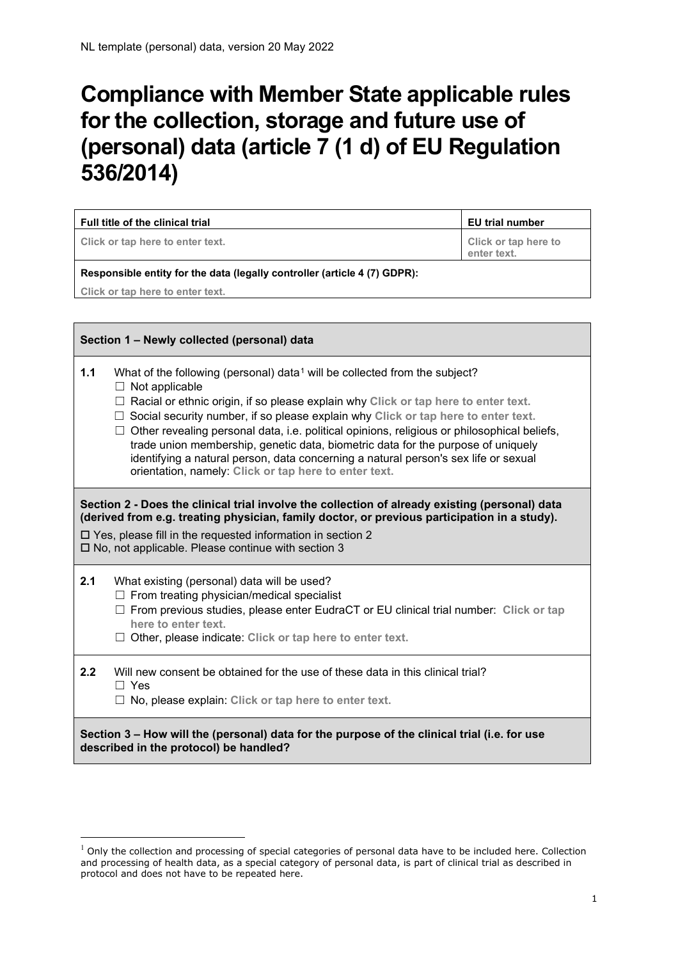## **Compliance with Member State applicable rules for the collection, storage and future use of (personal) data (article 7 (1 d) of EU Regulation 536/2014)**

| Full title of the clinical trial                                                                                                                                                                                                                                                                                       |                                                                                                                                                                                                                                                                                                                                                                                                                                                                                                                                                                                                                                                    | <b>EU trial number</b>              |  |
|------------------------------------------------------------------------------------------------------------------------------------------------------------------------------------------------------------------------------------------------------------------------------------------------------------------------|----------------------------------------------------------------------------------------------------------------------------------------------------------------------------------------------------------------------------------------------------------------------------------------------------------------------------------------------------------------------------------------------------------------------------------------------------------------------------------------------------------------------------------------------------------------------------------------------------------------------------------------------------|-------------------------------------|--|
|                                                                                                                                                                                                                                                                                                                        | Click or tap here to enter text.                                                                                                                                                                                                                                                                                                                                                                                                                                                                                                                                                                                                                   | Click or tap here to<br>enter text. |  |
| Responsible entity for the data (legally controller (article 4 (7) GDPR):                                                                                                                                                                                                                                              |                                                                                                                                                                                                                                                                                                                                                                                                                                                                                                                                                                                                                                                    |                                     |  |
| Click or tap here to enter text.                                                                                                                                                                                                                                                                                       |                                                                                                                                                                                                                                                                                                                                                                                                                                                                                                                                                                                                                                                    |                                     |  |
|                                                                                                                                                                                                                                                                                                                        |                                                                                                                                                                                                                                                                                                                                                                                                                                                                                                                                                                                                                                                    |                                     |  |
| Section 1 - Newly collected (personal) data                                                                                                                                                                                                                                                                            |                                                                                                                                                                                                                                                                                                                                                                                                                                                                                                                                                                                                                                                    |                                     |  |
| 1.1                                                                                                                                                                                                                                                                                                                    | What of the following (personal) data <sup>1</sup> will be collected from the subject?<br>$\Box$ Not applicable<br>$\Box$ Racial or ethnic origin, if so please explain why Click or tap here to enter text.<br>$\Box$ Social security number, if so please explain why Click or tap here to enter text.<br>$\Box$ Other revealing personal data, i.e. political opinions, religious or philosophical beliefs,<br>trade union membership, genetic data, biometric data for the purpose of uniquely<br>identifying a natural person, data concerning a natural person's sex life or sexual<br>orientation, namely: Click or tap here to enter text. |                                     |  |
| Section 2 - Does the clinical trial involve the collection of already existing (personal) data<br>(derived from e.g. treating physician, family doctor, or previous participation in a study).<br>□ Yes, please fill in the requested information in section 2<br>□ No, not applicable. Please continue with section 3 |                                                                                                                                                                                                                                                                                                                                                                                                                                                                                                                                                                                                                                                    |                                     |  |
| 2.1                                                                                                                                                                                                                                                                                                                    | What existing (personal) data will be used?<br>$\Box$ From treating physician/medical specialist<br>$\Box$ From previous studies, please enter EudraCT or EU clinical trial number: Click or tap<br>here to enter text.<br>$\Box$ Other, please indicate: Click or tap here to enter text.                                                                                                                                                                                                                                                                                                                                                         |                                     |  |
| 2.2                                                                                                                                                                                                                                                                                                                    | Will new consent be obtained for the use of these data in this clinical trial?<br>$\Box$ Yes<br>$\Box$ No, please explain: Click or tap here to enter text.                                                                                                                                                                                                                                                                                                                                                                                                                                                                                        |                                     |  |
|                                                                                                                                                                                                                                                                                                                        | Section 3 - How will the (personal) data for the purpose of the clinical trial (i.e. for use<br>described in the protocol) be handled?                                                                                                                                                                                                                                                                                                                                                                                                                                                                                                             |                                     |  |

<span id="page-0-0"></span> $1$  Only the collection and processing of special categories of personal data have to be included here. Collection and processing of health data, as a special category of personal data, is part of clinical trial as described in protocol and does not have to be repeated here.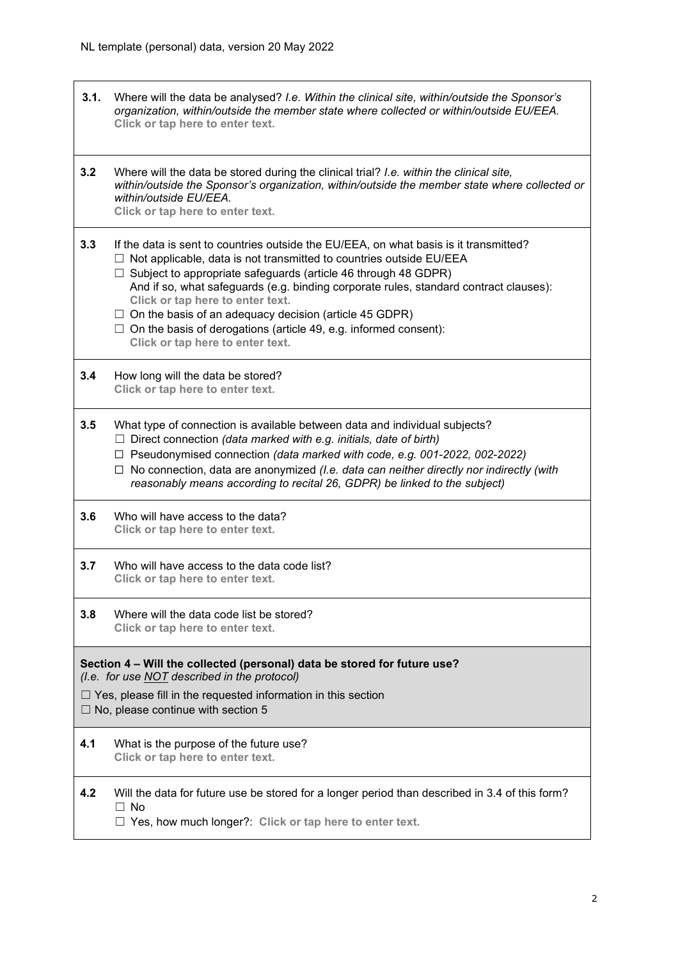| 3.1.                                                                                                                                                                                                                                          | Where will the data be analysed? I.e. Within the clinical site, within/outside the Sponsor's<br>organization, within/outside the member state where collected or within/outside EU/EEA.<br>Click or tap here to enter text.                                                                                                                                                                                                                                                                                                                               |
|-----------------------------------------------------------------------------------------------------------------------------------------------------------------------------------------------------------------------------------------------|-----------------------------------------------------------------------------------------------------------------------------------------------------------------------------------------------------------------------------------------------------------------------------------------------------------------------------------------------------------------------------------------------------------------------------------------------------------------------------------------------------------------------------------------------------------|
| 3.2                                                                                                                                                                                                                                           | Where will the data be stored during the clinical trial? I.e. within the clinical site,<br>within/outside the Sponsor's organization, within/outside the member state where collected or<br>within/outside EU/EEA.<br>Click or tap here to enter text.                                                                                                                                                                                                                                                                                                    |
| 3.3                                                                                                                                                                                                                                           | If the data is sent to countries outside the EU/EEA, on what basis is it transmitted?<br>$\Box$ Not applicable, data is not transmitted to countries outside EU/EEA<br>$\Box$ Subject to appropriate safeguards (article 46 through 48 GDPR)<br>And if so, what safeguards (e.g. binding corporate rules, standard contract clauses):<br>Click or tap here to enter text.<br>$\Box$ On the basis of an adequacy decision (article 45 GDPR)<br>$\Box$ On the basis of derogations (article 49, e.g. informed consent):<br>Click or tap here to enter text. |
| 3.4                                                                                                                                                                                                                                           | How long will the data be stored?<br>Click or tap here to enter text.                                                                                                                                                                                                                                                                                                                                                                                                                                                                                     |
| 3.5                                                                                                                                                                                                                                           | What type of connection is available between data and individual subjects?<br>$\Box$ Direct connection (data marked with e.g. initials, date of birth)<br>$\Box$ Pseudonymised connection (data marked with code, e.g. 001-2022, 002-2022)<br>$\Box$ No connection, data are anonymized ( <i>l.e. data can neither directly nor indirectly (with</i><br>reasonably means according to recital 26, GDPR) be linked to the subject)                                                                                                                         |
| 3.6                                                                                                                                                                                                                                           | Who will have access to the data?<br>Click or tap here to enter text.                                                                                                                                                                                                                                                                                                                                                                                                                                                                                     |
| 3.7                                                                                                                                                                                                                                           | Who will have access to the data code list?<br>Click or tap here to enter text.                                                                                                                                                                                                                                                                                                                                                                                                                                                                           |
| 3.8                                                                                                                                                                                                                                           | Where will the data code list be stored?<br>Click or tap here to enter text.                                                                                                                                                                                                                                                                                                                                                                                                                                                                              |
| Section 4 – Will the collected (personal) data be stored for future use?<br>(I.e. for use NOT described in the protocol)<br>$\Box$ Yes, please fill in the requested information in this section<br>$\Box$ No, please continue with section 5 |                                                                                                                                                                                                                                                                                                                                                                                                                                                                                                                                                           |
| 4.1                                                                                                                                                                                                                                           | What is the purpose of the future use?<br>Click or tap here to enter text.                                                                                                                                                                                                                                                                                                                                                                                                                                                                                |
| 4.2                                                                                                                                                                                                                                           | Will the data for future use be stored for a longer period than described in 3.4 of this form?<br>$\Box$ No<br>$\Box$ Yes, how much longer?: Click or tap here to enter text.                                                                                                                                                                                                                                                                                                                                                                             |